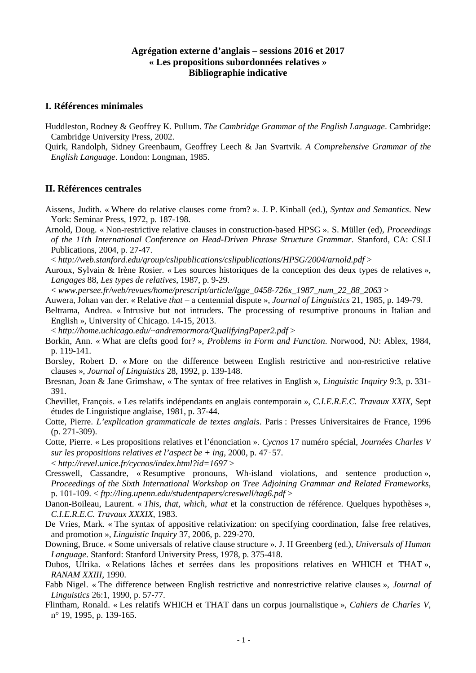## **Agrégation externe d'anglais – sessions 2016 et 2017 « Les propositions subordonnées relatives » Bibliographie indicative**

## **I. Références minimales**

- Huddleston, Rodney & Geoffrey K. Pullum. *The Cambridge Grammar of the English Language*. Cambridge: Cambridge University Press, 2002.
- Quirk, Randolph, Sidney Greenbaum, Geoffrey Leech & Jan Svartvik. *A Comprehensive Grammar of the English Language*. London: Longman, 1985.

## **II. Références centrales**

- Aissens, Judith. « Where do relative clauses come from? ». J. P. Kinball (ed.), *Syntax and Semantics*. New York: Seminar Press, 1972, p. 187-198.
- Arnold, Doug. « Non-restrictive relative clauses in construction-based HPSG ». S. Müller (ed), *Proceedings of the 11th International Conference on Head-Driven Phrase Structure Grammar*. Stanford, CA: CSLI Publications, 2004, p. 27-47.

< *http://web.stanford.edu/group/cslipublications/cslipublications/HPSG/2004/arnold.pdf* >

Auroux, Sylvain & Irène Rosier. « Les sources historiques de la conception des deux types de relatives », *Langages* 88, *Les types de relatives*, 1987, p. 9-29.

< *www.persee.fr/web/revues/home/prescript/article/lgge\_0458-726x\_1987\_num\_22\_88\_2063* >

- Auwera, Johan van der. « Relative *that*  a centennial dispute », *Journal of Linguistics* 21, 1985, p. 149-79.
- Beltrama, Andrea. « Intrusive but not intruders. The processing of resumptive pronouns in Italian and English », University of Chicago. 14-15, 2013.

< *http://home.uchicago.edu/~andremormora/QualifyingPaper2.pdf* >

- Borkin, Ann. « What are clefts good for? », *Problems in Form and Function*. Norwood, NJ: Ablex, 1984, p. 119-141.
- Borsley, Robert D. « More on the difference between English restrictive and non-restrictive relative clauses », *Journal of Linguistics* 28, 1992, p. 139-148.
- Bresnan, Joan & Jane Grimshaw, « The syntax of free relatives in English », *Linguistic Inquiry* 9:3, p. 331- 391.
- Chevillet, François. « Les relatifs indépendants en anglais contemporain », *C.I.E.R.E.C. Travaux XXIX*, Sept études de Linguistique anglaise, 1981, p. 37-44.
- Cotte, Pierre. *L'explication grammaticale de textes anglais*. Paris : Presses Universitaires de France, 1996 (p. 271-309).
- Cotte, Pierre. « Les propositions relatives et l'énonciation ». *Cycnos* 17 numéro spécial, *Journées Charles V sur les propositions relatives et l'aspect be + ing*, 2000, p. 47‑57. < *http://revel.unice.fr/cycnos/index.html?id=1697* >
- Cresswell, Cassandre, « Resumptive pronouns, Wh-island violations, and sentence production », *Proceedings of the Sixth International Workshop on Tree Adjoining Grammar and Related Frameworks*, p. 101-109. < *ftp://ling.upenn.edu/studentpapers/creswell/tag6.pdf* >
- Danon-Boileau, Laurent. « *This*, *that*, *which*, *what* et la construction de référence. Quelques hypothèses », *C.I.E.R.E.C. Travaux XXXIX*, 1983.
- De Vries, Mark. « The syntax of appositive relativization: on specifying coordination, false free relatives, and promotion », *Linguistic Inquiry* 37, 2006, p. 229-270.
- Downing, Bruce. « Some universals of relative clause structure ». J. H Greenberg (ed.), *Universals of Human Language*. Stanford: Stanford University Press, 1978, p. 375-418.
- Dubos, Ulrika. « Relations lâches et serrées dans les propositions relatives en WHICH et THAT », *RANAM XXIII*, 1990.
- Fabb Nigel. « The difference between English restrictive and nonrestrictive relative clauses », *Journal of Linguistics* 26:1, 1990, p. 57-77.
- Flintham, Ronald. « Les relatifs WHICH et THAT dans un corpus journalistique », *Cahiers de Charles V*, n° 19, 1995, p. 139-165.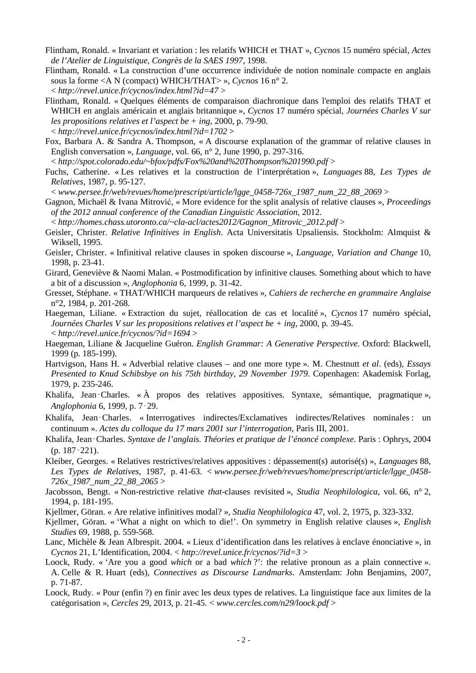- Flintham, Ronald. « Invariant et variation : les relatifs WHICH et THAT », *Cycnos* 15 numéro spécial, *Actes de l'Atelier de Linguistique, Congrès de la SAES 1997*, 1998.
- Flintham, Ronald. « La construction d'une occurrence individuée de notion nominale compacte en anglais sous la forme <A N (compact) WHICH/THAT> », *Cycnos* 16 n° 2. < *http://revel.unice.fr/cycnos/index.html?id=47* >
- Flintham, Ronald. « Quelques éléments de comparaison diachronique dans l'emploi des relatifs THAT et WHICH en anglais américain et anglais britannique », *Cycnos* 17 numéro spécial, *Journées Charles V sur les propositions relatives et l'aspect be + ing*, 2000, p. 79-90. < *http://revel.unice.fr/cycnos/index.html?id=1702* >
- Fox, Barbara A. & Sandra A. Thompson, « A discourse explanation of the grammar of relative clauses in English conversation », *Language*, vol. 66, n° 2, June 1990, p. 297-316.
- < *http://spot.colorado.edu/~bfox/pdfs/Fox%20and%20Thompson%201990.pdf* >
- Fuchs, Catherine. « Les relatives et la construction de l'interprétation », *Languages* 88, *Les Types de Relatives*, 1987, p. 95-127.

< *www.persee.fr/web/revues/home/prescript/article/lgge\_0458-726x\_1987\_num\_22\_88\_2069* >

- Gagnon, Michaël & Ivana Mitrović, « More evidence for the split analysis of relative clauses », *Proceedings of the 2012 annual conference of the Canadian Linguistic Association*, 2012.
- < *http://homes.chass.utoronto.ca/~cla-acl/actes2012/Gagnon\_Mitrovic\_2012.pdf* >
- Geisler, Christer. *Relative Infinitives in English*. Acta Universitatis Upsaliensis. Stockholm: Almquist & Wiksell, 1995.
- Geisler, Christer. « Infinitival relative clauses in spoken discourse », *Language, Variation and Change* 10, 1998, p. 23-41.
- Girard, Geneviève & Naomi Malan. « Postmodification by infinitive clauses. Something about which to have a bit of a discussion », *Anglophonia* 6, 1999, p. 31-42.
- Gresset, Stéphane. « THAT/WHICH marqueurs de relatives », *Cahiers de recherche en grammaire Anglaise* n°2, 1984, p. 201-268.
- Haegeman, Liliane. « Extraction du sujet, réallocation de cas et localité », *Cycnos* 17 numéro spécial, *Journées Charles V sur les propositions relatives et l'aspect be + ing*, 2000, p. 39-45. < *http://revel.unice.fr/cycnos/?id=1694* >
- Haegeman, Liliane & Jacqueline Guéron. *English Grammar: A Generative Perspective*. Oxford: Blackwell, 1999 (p. 185-199).
- Hartvigson, Hans H. « Adverbial relative clauses and one more type ». M. Chestnutt *et al*. (eds), *Essays Presented to Knud Schibsbye on his 75th birthday, 29 November 1979*. Copenhagen: Akademisk Forlag, 1979, p. 235-246.
- Khalifa, Jean–Charles. « À propos des relatives appositives. Syntaxe, sémantique, pragmatique », *Anglophonia* 6, 1999, p. 7‑29.
- Khalifa, Jean‑Charles. « Interrogatives indirectes/Exclamatives indirectes/Relatives nominales : un continuum ». *Actes du colloque du 17 mars 2001 sur l'interrogation*, Paris III, 2001.
- Khalifa, Jean‑Charles. *Syntaxe de l'anglais. Théories et pratique de l'énoncé complexe*. Paris : Ophrys, 2004 (p. 187‑221).
- Kleiber, Georges. « Relatives restrictives/relatives appositives : dépassement(s) autorisé(s) », *Languages* 88, *Les Types de Relatives*, 1987, p. 41-63. < *www.persee.fr/web/revues/home/prescript/article/lgge\_0458- 726x\_1987\_num\_22\_88\_2065* >
- Jacobsson, Bengt. « Non-restrictive relative *that*-clauses revisited », *Studia Neophilologica*, vol. 66, n° 2, 1994, p. 181-195.
- Kjellmer, Göran. « Are relative infinitives modal? », *Studia Neophilologica* 47, vol. 2, 1975, p. 323-332.
- Kjellmer, Göran. « 'What a night on which to die!'. On symmetry in English relative clauses », *English Studies* 69, 1988, p. 559-568.
- Lanc, Michèle & Jean Albrespit. 2004. « Lieux d'identification dans les relatives à enclave énonciative », in *Cycnos* 21, L'Identification, 2004. < *http://revel.unice.fr/cycnos/?id=3* >
- Loock, Rudy. « 'Are you a good *which* or a bad *which* ?': the relative pronoun as a plain connective ». A. Celle & R. Huart (eds), *Connectives as Discourse Landmarks*. Amsterdam: John Benjamins, 2007, p. 71-87.
- Loock, Rudy. « Pour (enfin ?) en finir avec les deux types de relatives. La linguistique face aux limites de la catégorisation », *Cercles* 29, 2013, p. 21-45. < *www.cercles.com/n29/loock.pdf* >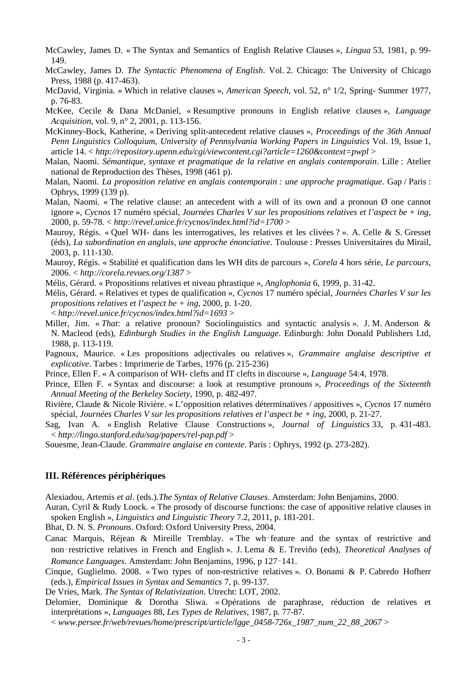McCawley, James D. « The Syntax and Semantics of English Relative Clauses », *Lingua* 53, 1981, p. 99- 149.

- McCawley, James D. *The Syntactic Phenomena of English*. Vol. 2. Chicago: The University of Chicago Press, 1988 (p. 417-463).
- McDavid, Virginia. « Which in relative clauses », *American Speech,* vol. 52, n° 1/2, Spring- Summer 1977, p. 76-83.
- McKee, Cecile & Dana McDaniel, « Resumptive pronouns in English relative clauses », *Language Acquisition*, vol. 9, n° 2, 2001, p. 113-156.
- McKinney-Bock, Katherine, « Deriving split-antecedent relative clauses », *Proceedings of the 36th Annual Penn Linguistics Colloquium*, *University of Pennsylvania Working Papers in Linguistics* Vol. 19, Issue 1, article 14. < *http://repository.upenn.edu/cgi/viewcontent.cgi?article=1260&context=pwpl* >
- Malan, Naomi. *Sémantique, syntaxe et pragmatique de la relative en anglais contemporain*. Lille : Atelier national de Reproduction des Thèses, 1998 (461 p).
- Malan, Naomi. *La proposition relative en anglais contemporain : une approche pragmatique*. Gap / Paris : Ophrys, 1999 (139 p).
- Malan, Naomi. « The relative clause: an antecedent with a will of its own and a pronoun  $\emptyset$  one cannot ignore », *Cycnos* 17 numéro spécial, *Journées Charles V sur les propositions relatives et l'aspect be + ing*, 2000, p. 59-78. < *http://revel.unice.fr/cycnos/index.html?id=1700* >
- Mauroy, Régis. « Quel WH- dans les interrogatives, les relatives et les clivées ? ». A. Celle & S. Gresset (éds), *La subordination en anglais, une approche énonciative*. Toulouse : Presses Universitaires du Mirail, 2003, p. 111-130.
- Mauroy, Régis. « Stabilité et qualification dans les WH dits de parcours », *Corela* 4 hors série, *Le parcours*, 2006. < *http://corela.revues.org/1387* >
- Mélis, Gérard. « Propositions relatives et niveau phrastique », *Anglophonia* 6, 1999, p. 31-42.
- Mélis, Gérard. « Relatives et types de qualification », *Cycnos* 17 numéro spécial, *Journées Charles V sur les propositions relatives et l'aspect be + ing*, 2000, p. 1-20.
- < *http://revel.unice.fr/cycnos/index.html?id=1693* >
- Miller, Jim. « *That*: a relative pronoun? Sociolinguistics and syntactic analysis ». J. M. Anderson & N. Macleod (eds), *Edinburgh Studies in the English Language*. Edinburgh: John Donald Publishers Ltd, 1988, p. 113-119.
- Pagnoux, Maurice. « Les propositions adjectivales ou relatives », *Grammaire anglaise descriptive et explicative*. Tarbes : Imprimerie de Tarbes, 1976 (p. 215-236)
- Prince, Ellen F. « A comparison of WH- clefts and IT clefts in discourse », *Language* 54:4, 1978.
- Prince, Ellen F. « Syntax and discourse: a look at resumptive pronouns », *Proceedings of the Sixteenth Annual Meeting of the Berkeley Society*, 1990, p. 482-497.
- Rivière, Claude & Nicole Rivière. « L'opposition relatives déterminatives / appositives », *Cycnos* 17 numéro spécial, *Journées Charles V sur les propositions relatives et l'aspect be + ing*, 2000, p. 21-27.
- Sag, Ivan A. « English Relative Clause Constructions », *Journal of Linguistics* 33, p. 431-483. < *http://lingo.stanford.edu/sag/papers/rel-pap.pdf* >
- Souesme, Jean-Claude. *Grammaire anglaise en contexte*. Paris : Ophrys, 1992 (p. 273-282).

## **III. Références périphériques**

- Alexiadou, Artemis *et al*. (eds.).*The Syntax of Relative Clauses*. Amsterdam: John Benjamins, 2000.
- Auran, Cyril & Rudy Loock. « The prosody of discourse functions: the case of appositive relative clauses in spoken English », *Linguistics and Linguistic Theory* 7.2, 2011, p. 181-201.
- Bhat, D. N. S. *Pronouns*. Oxford: Oxford University Press, 2004.
- Canac Marquis, Réjean & Mireille Tremblay. « The wh‑feature and the syntax of restrictive and non‑restrictive relatives in French and English ». J. Lema & E. Treviño (eds), *Theoretical Analyses of Romance Languages*. Amsterdam: John Benjamins, 1996, p 127‑141.
- Cinque, Guglielmo. 2008. « Two types of non-restrictive relatives ». O. Bonami & P. Cabredo Hofherr (eds.), *Empirical Issues in Syntax and Semantics* 7, p. 99-137.
- De Vries, Mark. *The Syntax of Relativization*. Utrecht: LOT, 2002.
- Delomier, Dominique & Dorotha Sliwa. « Opérations de paraphrase, réduction de relatives et interprétations », *Languages* 88, *Les Types de Relatives*, 1987, p. 77-87.
	- < *www.persee.fr/web/revues/home/prescript/article/lgge\_0458-726x\_1987\_num\_22\_88\_2067* >